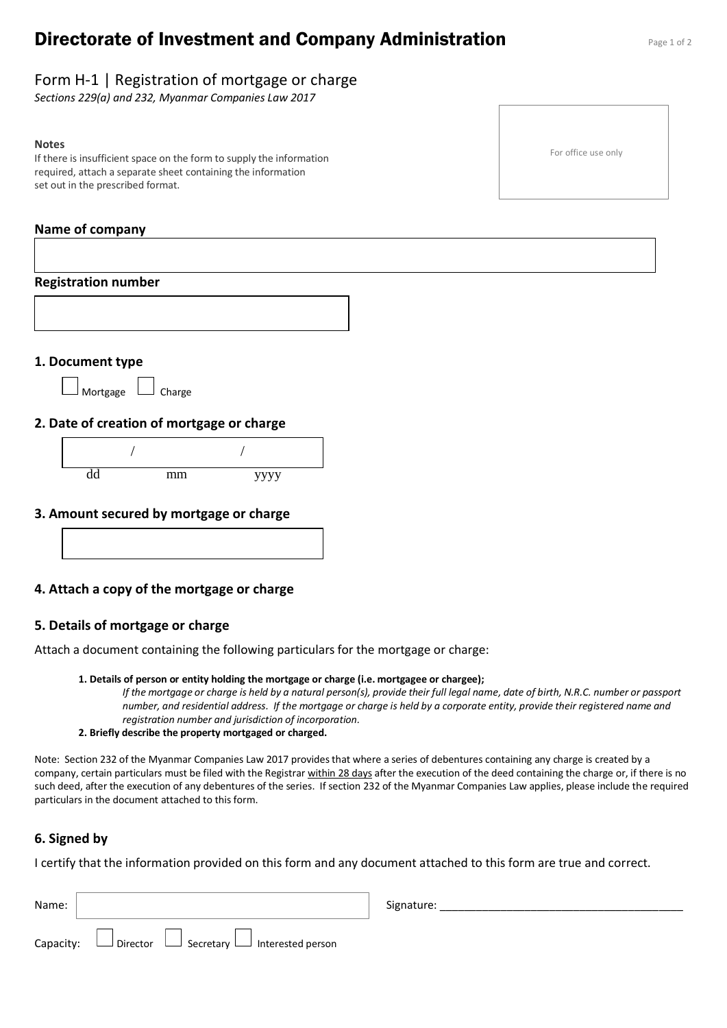# **Directorate of Investment and Company Administration** Page 1 of 2

## Form H-1 | Registration of mortgage or charge

*Sections 229(a) and 232, Myanmar Companies Law 2017*

#### **Notes**

If there is insufficient space on the form to supply the information required, attach a separate sheet containing the information set out in the prescribed format.

#### **Name of company**

# **Registration number 1. Document type** Mortgage  $\Box$  Charge **2. Date of creation of mortgage or charge** dd mm yyyy / /

#### **3. Amount secured by mortgage or charge**



# **4. Attach a copy of the mortgage or charge**

# **5. Details of mortgage or charge**

Attach a document containing the following particulars for the mortgage or charge:

#### **1. Details of person or entity holding the mortgage or charge (i.e. mortgagee or chargee);**

*If the mortgage or charge is held by a natural person(s), provide their full legal name, date of birth, N.R.C. number or passport number, and residential address. If the mortgage or charge is held by a corporate entity, provide their registered name and registration number and jurisdiction of incorporation.*

#### **2. Briefly describe the property mortgaged or charged.**

Note: Section 232 of the Myanmar Companies Law 2017 provides that where a series of debentures containing any charge is created by a company, certain particulars must be filed with the Registrar within 28 days after the execution of the deed containing the charge or, if there is no such deed, after the execution of any debentures of the series. If section 232 of the Myanmar Companies Law applies, please include the required particulars in the document attached to this form.

#### **6. Signed by**

I certify that the information provided on this form and any document attached to this form are true and correct.

| Name:     |                                                           | Signature: |
|-----------|-----------------------------------------------------------|------------|
| Capacity: | $\Box$ Director<br>Secretary └─ Interested person لـــــا |            |

For office use only